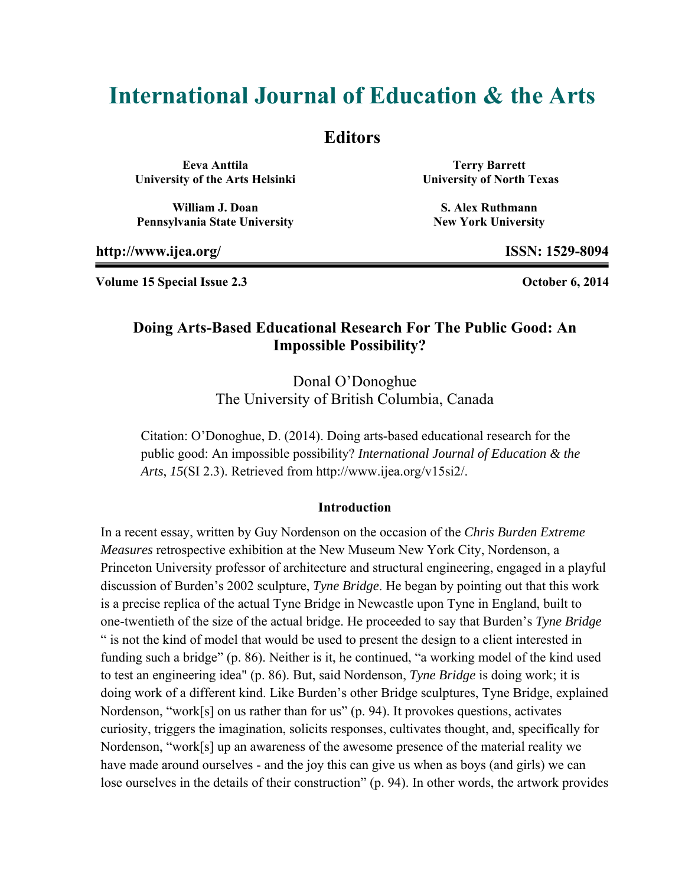# **International Journal of Education & the Arts**

### **Editors**

**Eeva Anttila University of the Arts Helsinki** 

**William J. Doan Pennsylvania State University** 

**Terry Barrett University of North Texas** 

**S. Alex Ruthmann New York University** 

**http://www.ijea.org/ ISSN: 1529-8094** 

**Volume 15 Special Issue 2.3 October 6, 2014** 

### **Doing Arts-Based Educational Research For The Public Good: An Impossible Possibility?**

Donal O'Donoghue The University of British Columbia, Canada

Citation: O'Donoghue, D. (2014). Doing arts-based educational research for the public good: An impossible possibility? *International Journal of Education & the Arts*, *15*(SI 2.3). Retrieved from http://www.ijea.org/v15si2/.

#### **Introduction**

In a recent essay, written by Guy Nordenson on the occasion of the *Chris Burden Extreme Measures* retrospective exhibition at the New Museum New York City, Nordenson, a Princeton University professor of architecture and structural engineering, engaged in a playful discussion of Burden's 2002 sculpture, *Tyne Bridge*. He began by pointing out that this work is a precise replica of the actual Tyne Bridge in Newcastle upon Tyne in England, built to one-twentieth of the size of the actual bridge. He proceeded to say that Burden's *Tyne Bridge* " is not the kind of model that would be used to present the design to a client interested in funding such a bridge" (p. 86). Neither is it, he continued, "a working model of the kind used to test an engineering idea" (p. 86). But, said Nordenson, *Tyne Bridge* is doing work; it is doing work of a different kind. Like Burden's other Bridge sculptures, Tyne Bridge, explained Nordenson, "work[s] on us rather than for us" (p. 94). It provokes questions, activates curiosity, triggers the imagination, solicits responses, cultivates thought, and, specifically for Nordenson, "work[s] up an awareness of the awesome presence of the material reality we have made around ourselves - and the joy this can give us when as boys (and girls) we can lose ourselves in the details of their construction" (p. 94). In other words, the artwork provides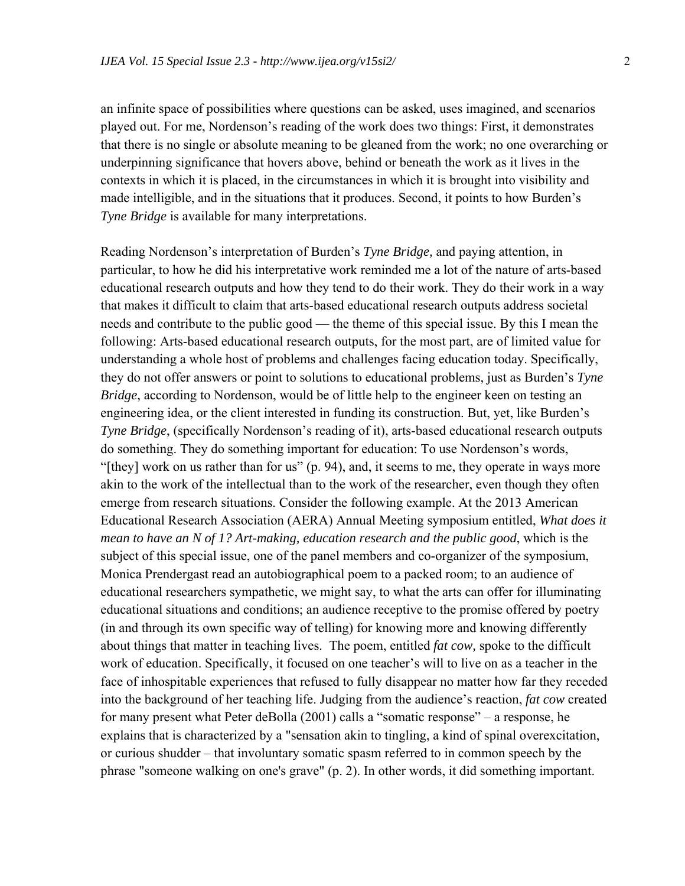an infinite space of possibilities where questions can be asked, uses imagined, and scenarios played out. For me, Nordenson's reading of the work does two things: First, it demonstrates that there is no single or absolute meaning to be gleaned from the work; no one overarching or underpinning significance that hovers above, behind or beneath the work as it lives in the contexts in which it is placed, in the circumstances in which it is brought into visibility and made intelligible, and in the situations that it produces. Second, it points to how Burden's *Tyne Bridge* is available for many interpretations.

Reading Nordenson's interpretation of Burden's *Tyne Bridge,* and paying attention, in particular, to how he did his interpretative work reminded me a lot of the nature of arts-based educational research outputs and how they tend to do their work. They do their work in a way that makes it difficult to claim that arts-based educational research outputs address societal needs and contribute to the public good — the theme of this special issue. By this I mean the following: Arts-based educational research outputs, for the most part, are of limited value for understanding a whole host of problems and challenges facing education today. Specifically, they do not offer answers or point to solutions to educational problems, just as Burden's *Tyne Bridge*, according to Nordenson, would be of little help to the engineer keen on testing an engineering idea, or the client interested in funding its construction. But, yet, like Burden's *Tyne Bridge*, (specifically Nordenson's reading of it), arts-based educational research outputs do something. They do something important for education: To use Nordenson's words, "[they] work on us rather than for us" (p. 94), and, it seems to me, they operate in ways more akin to the work of the intellectual than to the work of the researcher, even though they often emerge from research situations. Consider the following example. At the 2013 American Educational Research Association (AERA) Annual Meeting symposium entitled, *What does it mean to have an N of 1? Art-making, education research and the public good*, which is the subject of this special issue, one of the panel members and co-organizer of the symposium, Monica Prendergast read an autobiographical poem to a packed room; to an audience of educational researchers sympathetic, we might say, to what the arts can offer for illuminating educational situations and conditions; an audience receptive to the promise offered by poetry (in and through its own specific way of telling) for knowing more and knowing differently about things that matter in teaching lives. The poem, entitled *fat cow,* spoke to the difficult work of education. Specifically, it focused on one teacher's will to live on as a teacher in the face of inhospitable experiences that refused to fully disappear no matter how far they receded into the background of her teaching life. Judging from the audience's reaction, *fat cow* created for many present what Peter deBolla (2001) calls a "somatic response" – a response, he explains that is characterized by a "sensation akin to tingling, a kind of spinal overexcitation, or curious shudder – that involuntary somatic spasm referred to in common speech by the phrase "someone walking on one's grave" (p. 2). In other words, it did something important.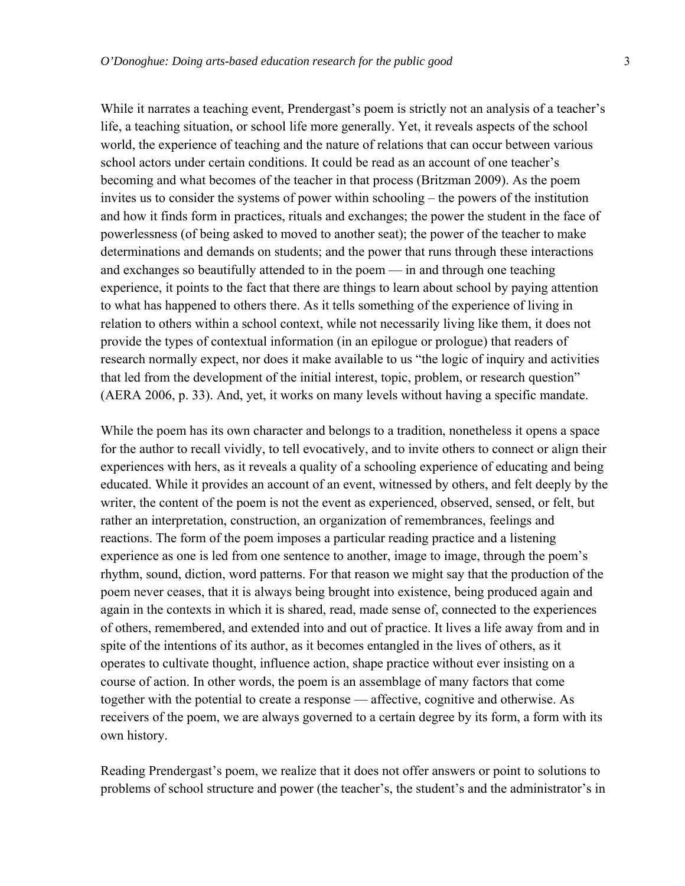While it narrates a teaching event, Prendergast's poem is strictly not an analysis of a teacher's life, a teaching situation, or school life more generally. Yet, it reveals aspects of the school world, the experience of teaching and the nature of relations that can occur between various school actors under certain conditions. It could be read as an account of one teacher's becoming and what becomes of the teacher in that process (Britzman 2009). As the poem invites us to consider the systems of power within schooling – the powers of the institution and how it finds form in practices, rituals and exchanges; the power the student in the face of powerlessness (of being asked to moved to another seat); the power of the teacher to make determinations and demands on students; and the power that runs through these interactions and exchanges so beautifully attended to in the poem — in and through one teaching experience, it points to the fact that there are things to learn about school by paying attention to what has happened to others there. As it tells something of the experience of living in relation to others within a school context, while not necessarily living like them, it does not provide the types of contextual information (in an epilogue or prologue) that readers of research normally expect, nor does it make available to us "the logic of inquiry and activities that led from the development of the initial interest, topic, problem, or research question" (AERA 2006, p. 33). And, yet, it works on many levels without having a specific mandate.

While the poem has its own character and belongs to a tradition, nonetheless it opens a space for the author to recall vividly, to tell evocatively, and to invite others to connect or align their experiences with hers, as it reveals a quality of a schooling experience of educating and being educated. While it provides an account of an event, witnessed by others, and felt deeply by the writer, the content of the poem is not the event as experienced, observed, sensed, or felt, but rather an interpretation, construction, an organization of remembrances, feelings and reactions. The form of the poem imposes a particular reading practice and a listening experience as one is led from one sentence to another, image to image, through the poem's rhythm, sound, diction, word patterns. For that reason we might say that the production of the poem never ceases, that it is always being brought into existence, being produced again and again in the contexts in which it is shared, read, made sense of, connected to the experiences of others, remembered, and extended into and out of practice. It lives a life away from and in spite of the intentions of its author, as it becomes entangled in the lives of others, as it operates to cultivate thought, influence action, shape practice without ever insisting on a course of action. In other words, the poem is an assemblage of many factors that come together with the potential to create a response — affective, cognitive and otherwise. As receivers of the poem, we are always governed to a certain degree by its form, a form with its own history.

Reading Prendergast's poem, we realize that it does not offer answers or point to solutions to problems of school structure and power (the teacher's, the student's and the administrator's in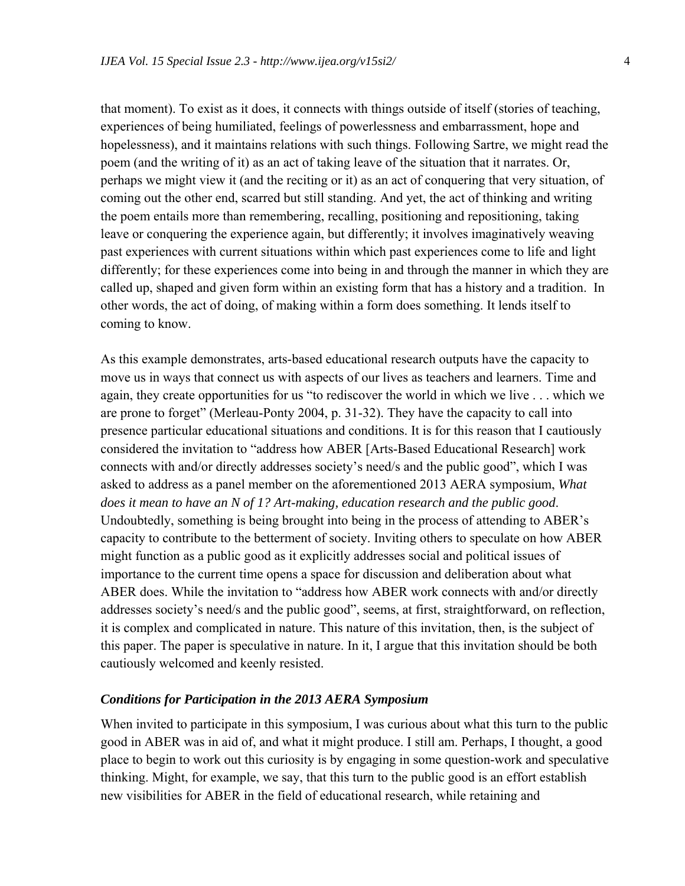that moment). To exist as it does, it connects with things outside of itself (stories of teaching, experiences of being humiliated, feelings of powerlessness and embarrassment, hope and hopelessness), and it maintains relations with such things. Following Sartre, we might read the poem (and the writing of it) as an act of taking leave of the situation that it narrates. Or, perhaps we might view it (and the reciting or it) as an act of conquering that very situation, of coming out the other end, scarred but still standing. And yet, the act of thinking and writing the poem entails more than remembering, recalling, positioning and repositioning, taking leave or conquering the experience again, but differently; it involves imaginatively weaving past experiences with current situations within which past experiences come to life and light differently; for these experiences come into being in and through the manner in which they are called up, shaped and given form within an existing form that has a history and a tradition. In other words, the act of doing, of making within a form does something. It lends itself to coming to know.

As this example demonstrates, arts-based educational research outputs have the capacity to move us in ways that connect us with aspects of our lives as teachers and learners. Time and again, they create opportunities for us "to rediscover the world in which we live . . . which we are prone to forget" (Merleau-Ponty 2004, p. 31-32). They have the capacity to call into presence particular educational situations and conditions. It is for this reason that I cautiously considered the invitation to "address how ABER [Arts-Based Educational Research] work connects with and/or directly addresses society's need/s and the public good", which I was asked to address as a panel member on the aforementioned 2013 AERA symposium, *What does it mean to have an N of 1? Art-making, education research and the public good*. Undoubtedly, something is being brought into being in the process of attending to ABER's capacity to contribute to the betterment of society. Inviting others to speculate on how ABER might function as a public good as it explicitly addresses social and political issues of importance to the current time opens a space for discussion and deliberation about what ABER does. While the invitation to "address how ABER work connects with and/or directly addresses society's need/s and the public good", seems, at first, straightforward, on reflection, it is complex and complicated in nature. This nature of this invitation, then, is the subject of this paper. The paper is speculative in nature. In it, I argue that this invitation should be both cautiously welcomed and keenly resisted.

#### *Conditions for Participation in the 2013 AERA Symposium*

When invited to participate in this symposium, I was curious about what this turn to the public good in ABER was in aid of, and what it might produce. I still am. Perhaps, I thought, a good place to begin to work out this curiosity is by engaging in some question-work and speculative thinking. Might, for example, we say, that this turn to the public good is an effort establish new visibilities for ABER in the field of educational research, while retaining and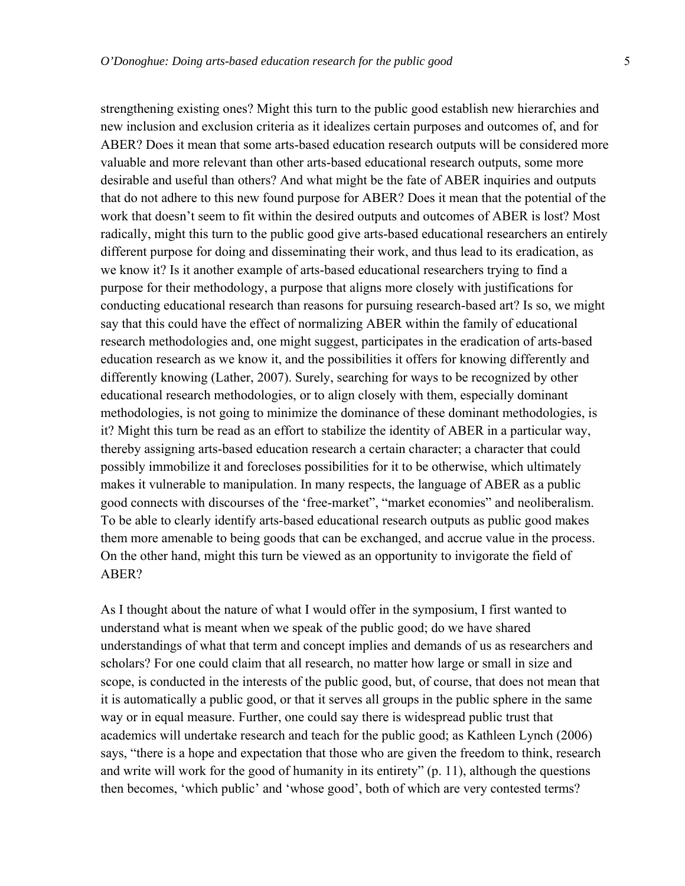strengthening existing ones? Might this turn to the public good establish new hierarchies and new inclusion and exclusion criteria as it idealizes certain purposes and outcomes of, and for ABER? Does it mean that some arts-based education research outputs will be considered more valuable and more relevant than other arts-based educational research outputs, some more desirable and useful than others? And what might be the fate of ABER inquiries and outputs that do not adhere to this new found purpose for ABER? Does it mean that the potential of the work that doesn't seem to fit within the desired outputs and outcomes of ABER is lost? Most radically, might this turn to the public good give arts-based educational researchers an entirely different purpose for doing and disseminating their work, and thus lead to its eradication, as we know it? Is it another example of arts-based educational researchers trying to find a purpose for their methodology, a purpose that aligns more closely with justifications for conducting educational research than reasons for pursuing research-based art? Is so, we might say that this could have the effect of normalizing ABER within the family of educational research methodologies and, one might suggest, participates in the eradication of arts-based education research as we know it, and the possibilities it offers for knowing differently and differently knowing (Lather, 2007). Surely, searching for ways to be recognized by other educational research methodologies, or to align closely with them, especially dominant methodologies, is not going to minimize the dominance of these dominant methodologies, is it? Might this turn be read as an effort to stabilize the identity of ABER in a particular way, thereby assigning arts-based education research a certain character; a character that could possibly immobilize it and forecloses possibilities for it to be otherwise, which ultimately makes it vulnerable to manipulation. In many respects, the language of ABER as a public good connects with discourses of the 'free-market", "market economies" and neoliberalism. To be able to clearly identify arts-based educational research outputs as public good makes them more amenable to being goods that can be exchanged, and accrue value in the process. On the other hand, might this turn be viewed as an opportunity to invigorate the field of ABER?

As I thought about the nature of what I would offer in the symposium, I first wanted to understand what is meant when we speak of the public good; do we have shared understandings of what that term and concept implies and demands of us as researchers and scholars? For one could claim that all research, no matter how large or small in size and scope, is conducted in the interests of the public good, but, of course, that does not mean that it is automatically a public good, or that it serves all groups in the public sphere in the same way or in equal measure. Further, one could say there is widespread public trust that academics will undertake research and teach for the public good; as Kathleen Lynch (2006) says, "there is a hope and expectation that those who are given the freedom to think, research and write will work for the good of humanity in its entirety" (p. 11), although the questions then becomes, 'which public' and 'whose good', both of which are very contested terms?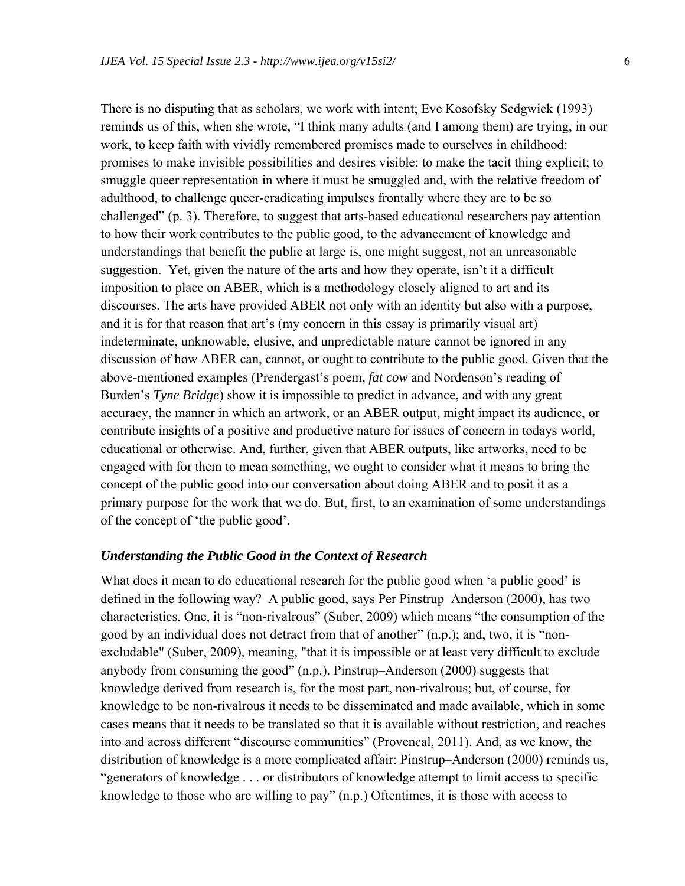There is no disputing that as scholars, we work with intent; Eve Kosofsky Sedgwick (1993) reminds us of this, when she wrote, "I think many adults (and I among them) are trying, in our work, to keep faith with vividly remembered promises made to ourselves in childhood: promises to make invisible possibilities and desires visible: to make the tacit thing explicit; to smuggle queer representation in where it must be smuggled and, with the relative freedom of adulthood, to challenge queer-eradicating impulses frontally where they are to be so challenged" (p. 3). Therefore, to suggest that arts-based educational researchers pay attention to how their work contributes to the public good, to the advancement of knowledge and understandings that benefit the public at large is, one might suggest, not an unreasonable suggestion. Yet, given the nature of the arts and how they operate, isn't it a difficult imposition to place on ABER, which is a methodology closely aligned to art and its discourses. The arts have provided ABER not only with an identity but also with a purpose, and it is for that reason that art's (my concern in this essay is primarily visual art) indeterminate, unknowable, elusive, and unpredictable nature cannot be ignored in any discussion of how ABER can, cannot, or ought to contribute to the public good. Given that the above-mentioned examples (Prendergast's poem, *fat cow* and Nordenson's reading of Burden's *Tyne Bridge*) show it is impossible to predict in advance, and with any great accuracy, the manner in which an artwork, or an ABER output, might impact its audience, or contribute insights of a positive and productive nature for issues of concern in todays world, educational or otherwise. And, further, given that ABER outputs, like artworks, need to be engaged with for them to mean something, we ought to consider what it means to bring the concept of the public good into our conversation about doing ABER and to posit it as a primary purpose for the work that we do. But, first, to an examination of some understandings of the concept of 'the public good'.

#### *Understanding the Public Good in the Context of Research*

What does it mean to do educational research for the public good when 'a public good' is defined in the following way? A public good, says Per Pinstrup–Anderson (2000), has two characteristics. One, it is "non-rivalrous" (Suber, 2009) which means "the consumption of the good by an individual does not detract from that of another" (n.p.); and, two, it is "nonexcludable" (Suber, 2009), meaning, "that it is impossible or at least very difficult to exclude anybody from consuming the good" (n.p.). Pinstrup–Anderson (2000) suggests that knowledge derived from research is, for the most part, non-rivalrous; but, of course, for knowledge to be non-rivalrous it needs to be disseminated and made available, which in some cases means that it needs to be translated so that it is available without restriction, and reaches into and across different "discourse communities" (Provencal, 2011). And, as we know, the distribution of knowledge is a more complicated affair: Pinstrup–Anderson (2000) reminds us, "generators of knowledge . . . or distributors of knowledge attempt to limit access to specific knowledge to those who are willing to pay" (n.p.) Oftentimes, it is those with access to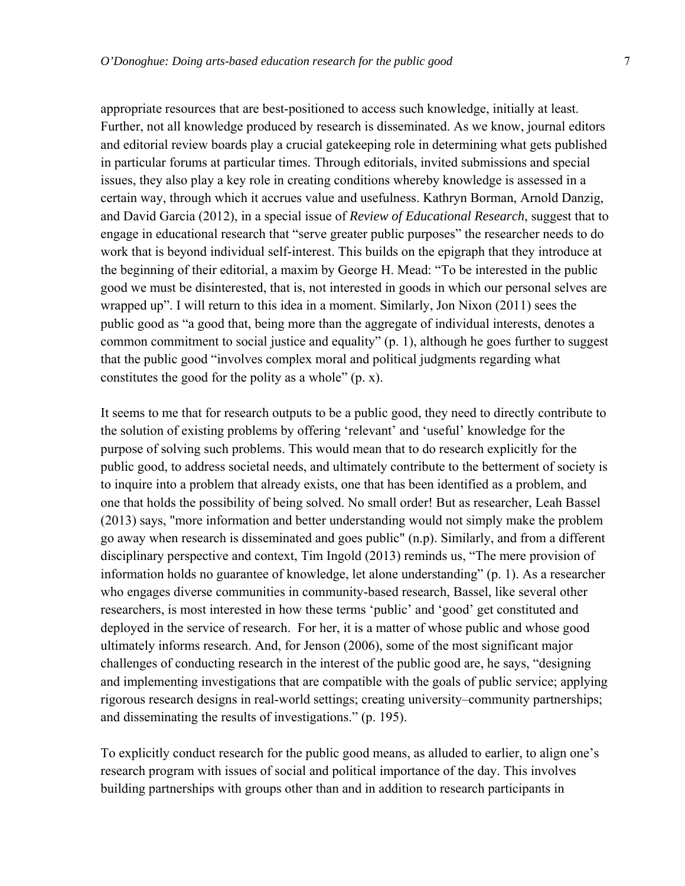appropriate resources that are best-positioned to access such knowledge, initially at least. Further, not all knowledge produced by research is disseminated. As we know, journal editors and editorial review boards play a crucial gatekeeping role in determining what gets published in particular forums at particular times. Through editorials, invited submissions and special issues, they also play a key role in creating conditions whereby knowledge is assessed in a certain way, through which it accrues value and usefulness. Kathryn Borman, Arnold Danzig, and David Garcia (2012), in a special issue of *Review of Educational Research*, suggest that to engage in educational research that "serve greater public purposes" the researcher needs to do work that is beyond individual self-interest. This builds on the epigraph that they introduce at the beginning of their editorial, a maxim by George H. Mead: "To be interested in the public good we must be disinterested, that is, not interested in goods in which our personal selves are wrapped up". I will return to this idea in a moment. Similarly, Jon Nixon (2011) sees the public good as "a good that, being more than the aggregate of individual interests, denotes a common commitment to social justice and equality" (p. 1), although he goes further to suggest that the public good "involves complex moral and political judgments regarding what constitutes the good for the polity as a whole" (p. x).

It seems to me that for research outputs to be a public good, they need to directly contribute to the solution of existing problems by offering 'relevant' and 'useful' knowledge for the purpose of solving such problems. This would mean that to do research explicitly for the public good, to address societal needs, and ultimately contribute to the betterment of society is to inquire into a problem that already exists, one that has been identified as a problem, and one that holds the possibility of being solved. No small order! But as researcher, Leah Bassel (2013) says, "more information and better understanding would not simply make the problem go away when research is disseminated and goes public" (n.p). Similarly, and from a different disciplinary perspective and context, Tim Ingold (2013) reminds us, "The mere provision of information holds no guarantee of knowledge, let alone understanding" (p. 1). As a researcher who engages diverse communities in community-based research, Bassel, like several other researchers, is most interested in how these terms 'public' and 'good' get constituted and deployed in the service of research. For her, it is a matter of whose public and whose good ultimately informs research. And, for Jenson (2006), some of the most significant major challenges of conducting research in the interest of the public good are, he says, "designing and implementing investigations that are compatible with the goals of public service; applying rigorous research designs in real-world settings; creating university–community partnerships; and disseminating the results of investigations." (p. 195).

To explicitly conduct research for the public good means, as alluded to earlier, to align one's research program with issues of social and political importance of the day. This involves building partnerships with groups other than and in addition to research participants in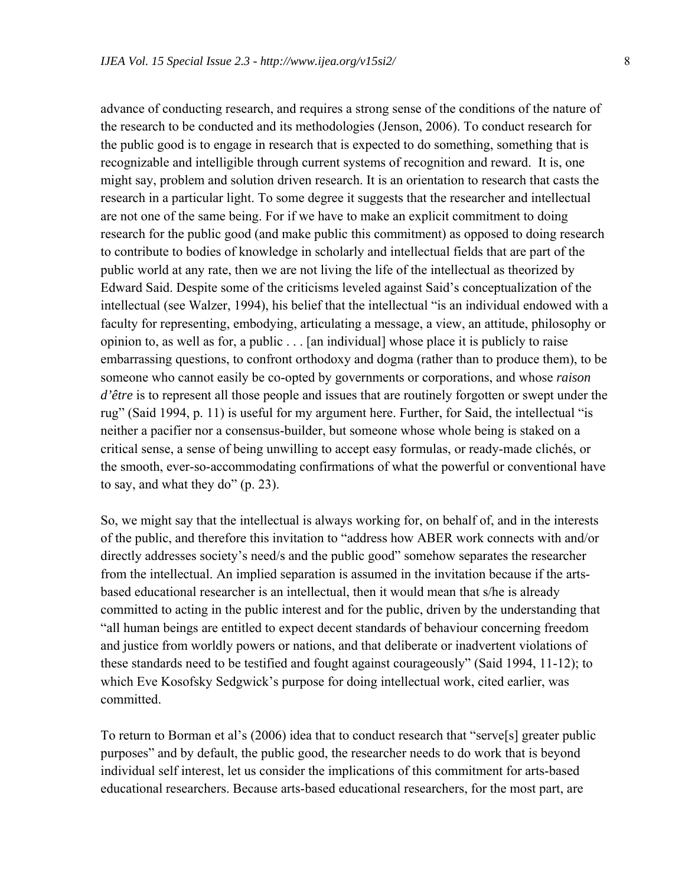advance of conducting research, and requires a strong sense of the conditions of the nature of the research to be conducted and its methodologies (Jenson, 2006). To conduct research for the public good is to engage in research that is expected to do something, something that is recognizable and intelligible through current systems of recognition and reward. It is, one might say, problem and solution driven research. It is an orientation to research that casts the research in a particular light. To some degree it suggests that the researcher and intellectual are not one of the same being. For if we have to make an explicit commitment to doing research for the public good (and make public this commitment) as opposed to doing research to contribute to bodies of knowledge in scholarly and intellectual fields that are part of the public world at any rate, then we are not living the life of the intellectual as theorized by Edward Said. Despite some of the criticisms leveled against Said's conceptualization of the intellectual (see Walzer, 1994), his belief that the intellectual "is an individual endowed with a faculty for representing, embodying, articulating a message, a view, an attitude, philosophy or opinion to, as well as for, a public . . . [an individual] whose place it is publicly to raise embarrassing questions, to confront orthodoxy and dogma (rather than to produce them), to be someone who cannot easily be co-opted by governments or corporations, and whose *raison d'être* is to represent all those people and issues that are routinely forgotten or swept under the rug" (Said 1994, p. 11) is useful for my argument here. Further, for Said, the intellectual "is neither a pacifier nor a consensus-builder, but someone whose whole being is staked on a critical sense, a sense of being unwilling to accept easy formulas, or ready-made clichés, or the smooth, ever-so-accommodating confirmations of what the powerful or conventional have

to say, and what they do" (p. 23).

So, we might say that the intellectual is always working for, on behalf of, and in the interests of the public, and therefore this invitation to "address how ABER work connects with and/or directly addresses society's need/s and the public good" somehow separates the researcher from the intellectual. An implied separation is assumed in the invitation because if the artsbased educational researcher is an intellectual, then it would mean that s/he is already committed to acting in the public interest and for the public, driven by the understanding that "all human beings are entitled to expect decent standards of behaviour concerning freedom and justice from worldly powers or nations, and that deliberate or inadvertent violations of these standards need to be testified and fought against courageously" (Said 1994, 11-12); to which Eve Kosofsky Sedgwick's purpose for doing intellectual work, cited earlier, was committed.

To return to Borman et al's (2006) idea that to conduct research that "serve[s] greater public purposes" and by default, the public good, the researcher needs to do work that is beyond individual self interest, let us consider the implications of this commitment for arts-based educational researchers. Because arts-based educational researchers, for the most part, are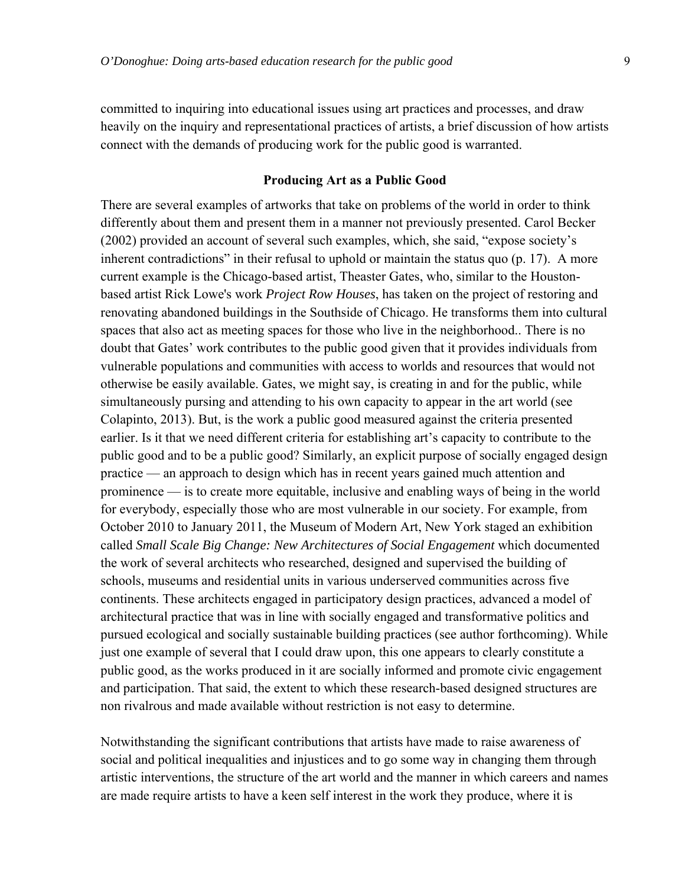committed to inquiring into educational issues using art practices and processes, and draw heavily on the inquiry and representational practices of artists, a brief discussion of how artists connect with the demands of producing work for the public good is warranted.

#### **Producing Art as a Public Good**

There are several examples of artworks that take on problems of the world in order to think differently about them and present them in a manner not previously presented. Carol Becker (2002) provided an account of several such examples, which, she said, "expose society's inherent contradictions" in their refusal to uphold or maintain the status quo (p. 17). A more current example is the Chicago-based artist, Theaster Gates, who, similar to the Houstonbased artist Rick Lowe's work *Project Row Houses*, has taken on the project of restoring and renovating abandoned buildings in the Southside of Chicago. He transforms them into cultural spaces that also act as meeting spaces for those who live in the neighborhood.. There is no doubt that Gates' work contributes to the public good given that it provides individuals from vulnerable populations and communities with access to worlds and resources that would not otherwise be easily available. Gates, we might say, is creating in and for the public, while simultaneously pursing and attending to his own capacity to appear in the art world (see Colapinto, 2013). But, is the work a public good measured against the criteria presented earlier. Is it that we need different criteria for establishing art's capacity to contribute to the public good and to be a public good? Similarly, an explicit purpose of socially engaged design practice — an approach to design which has in recent years gained much attention and prominence — is to create more equitable, inclusive and enabling ways of being in the world for everybody, especially those who are most vulnerable in our society. For example, from October 2010 to January 2011, the Museum of Modern Art, New York staged an exhibition called *Small Scale Big Change: New Architectures of Social Engagement* which documented the work of several architects who researched, designed and supervised the building of schools, museums and residential units in various underserved communities across five continents. These architects engaged in participatory design practices, advanced a model of architectural practice that was in line with socially engaged and transformative politics and pursued ecological and socially sustainable building practices (see author forthcoming). While just one example of several that I could draw upon, this one appears to clearly constitute a public good, as the works produced in it are socially informed and promote civic engagement and participation. That said, the extent to which these research-based designed structures are non rivalrous and made available without restriction is not easy to determine.

Notwithstanding the significant contributions that artists have made to raise awareness of social and political inequalities and injustices and to go some way in changing them through artistic interventions, the structure of the art world and the manner in which careers and names are made require artists to have a keen self interest in the work they produce, where it is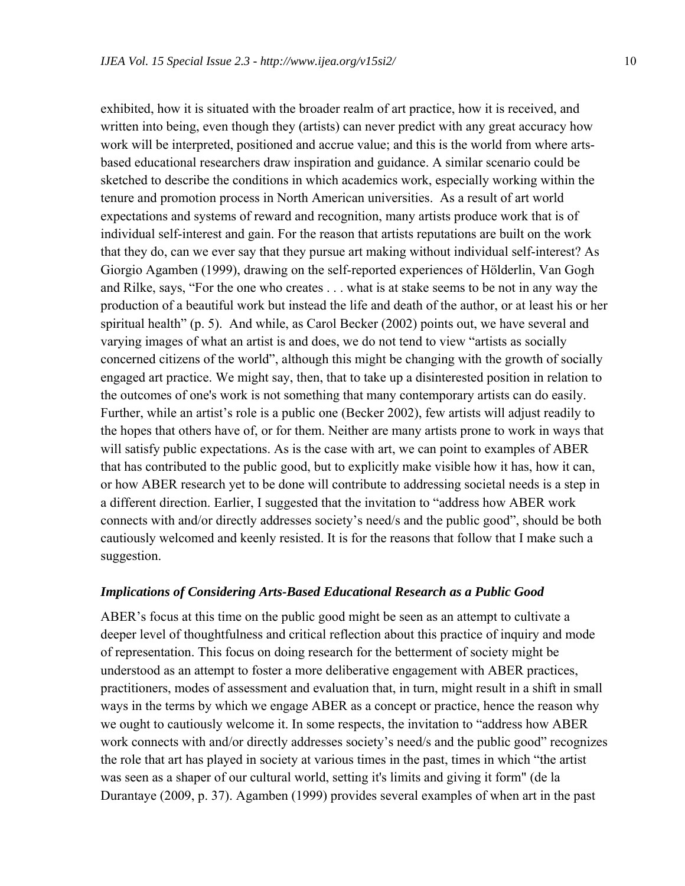exhibited, how it is situated with the broader realm of art practice, how it is received, and written into being, even though they (artists) can never predict with any great accuracy how work will be interpreted, positioned and accrue value; and this is the world from where artsbased educational researchers draw inspiration and guidance. A similar scenario could be sketched to describe the conditions in which academics work, especially working within the tenure and promotion process in North American universities. As a result of art world expectations and systems of reward and recognition, many artists produce work that is of individual self-interest and gain. For the reason that artists reputations are built on the work that they do, can we ever say that they pursue art making without individual self-interest? As Giorgio Agamben (1999), drawing on the self-reported experiences of Hölderlin, Van Gogh and Rilke, says, "For the one who creates . . . what is at stake seems to be not in any way the production of a beautiful work but instead the life and death of the author, or at least his or her spiritual health" (p. 5). And while, as Carol Becker (2002) points out, we have several and varying images of what an artist is and does, we do not tend to view "artists as socially concerned citizens of the world", although this might be changing with the growth of socially engaged art practice. We might say, then, that to take up a disinterested position in relation to the outcomes of one's work is not something that many contemporary artists can do easily. Further, while an artist's role is a public one (Becker 2002), few artists will adjust readily to the hopes that others have of, or for them. Neither are many artists prone to work in ways that will satisfy public expectations. As is the case with art, we can point to examples of ABER that has contributed to the public good, but to explicitly make visible how it has, how it can, or how ABER research yet to be done will contribute to addressing societal needs is a step in a different direction. Earlier, I suggested that the invitation to "address how ABER work connects with and/or directly addresses society's need/s and the public good", should be both cautiously welcomed and keenly resisted. It is for the reasons that follow that I make such a suggestion.

#### *Implications of Considering Arts-Based Educational Research as a Public Good*

ABER's focus at this time on the public good might be seen as an attempt to cultivate a deeper level of thoughtfulness and critical reflection about this practice of inquiry and mode of representation. This focus on doing research for the betterment of society might be understood as an attempt to foster a more deliberative engagement with ABER practices, practitioners, modes of assessment and evaluation that, in turn, might result in a shift in small ways in the terms by which we engage ABER as a concept or practice, hence the reason why we ought to cautiously welcome it. In some respects, the invitation to "address how ABER work connects with and/or directly addresses society's need/s and the public good" recognizes the role that art has played in society at various times in the past, times in which "the artist was seen as a shaper of our cultural world, setting it's limits and giving it form" (de la Durantaye (2009, p. 37). Agamben (1999) provides several examples of when art in the past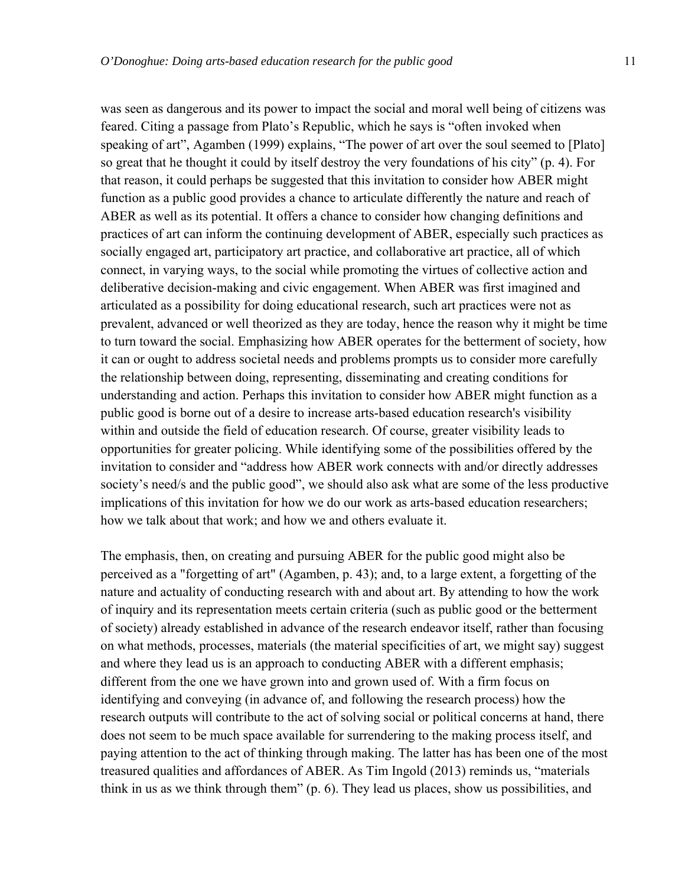was seen as dangerous and its power to impact the social and moral well being of citizens was feared. Citing a passage from Plato's Republic, which he says is "often invoked when speaking of art", Agamben (1999) explains, "The power of art over the soul seemed to [Plato] so great that he thought it could by itself destroy the very foundations of his city" (p. 4). For that reason, it could perhaps be suggested that this invitation to consider how ABER might function as a public good provides a chance to articulate differently the nature and reach of ABER as well as its potential. It offers a chance to consider how changing definitions and practices of art can inform the continuing development of ABER, especially such practices as socially engaged art, participatory art practice, and collaborative art practice, all of which connect, in varying ways, to the social while promoting the virtues of collective action and deliberative decision-making and civic engagement. When ABER was first imagined and articulated as a possibility for doing educational research, such art practices were not as prevalent, advanced or well theorized as they are today, hence the reason why it might be time to turn toward the social. Emphasizing how ABER operates for the betterment of society, how it can or ought to address societal needs and problems prompts us to consider more carefully the relationship between doing, representing, disseminating and creating conditions for understanding and action. Perhaps this invitation to consider how ABER might function as a public good is borne out of a desire to increase arts-based education research's visibility within and outside the field of education research. Of course, greater visibility leads to opportunities for greater policing. While identifying some of the possibilities offered by the invitation to consider and "address how ABER work connects with and/or directly addresses society's need/s and the public good", we should also ask what are some of the less productive implications of this invitation for how we do our work as arts-based education researchers; how we talk about that work; and how we and others evaluate it.

The emphasis, then, on creating and pursuing ABER for the public good might also be perceived as a "forgetting of art" (Agamben, p. 43); and, to a large extent, a forgetting of the nature and actuality of conducting research with and about art. By attending to how the work of inquiry and its representation meets certain criteria (such as public good or the betterment of society) already established in advance of the research endeavor itself, rather than focusing on what methods, processes, materials (the material specificities of art, we might say) suggest and where they lead us is an approach to conducting ABER with a different emphasis; different from the one we have grown into and grown used of. With a firm focus on identifying and conveying (in advance of, and following the research process) how the research outputs will contribute to the act of solving social or political concerns at hand, there does not seem to be much space available for surrendering to the making process itself, and paying attention to the act of thinking through making. The latter has has been one of the most treasured qualities and affordances of ABER. As Tim Ingold (2013) reminds us, "materials think in us as we think through them" (p. 6). They lead us places, show us possibilities, and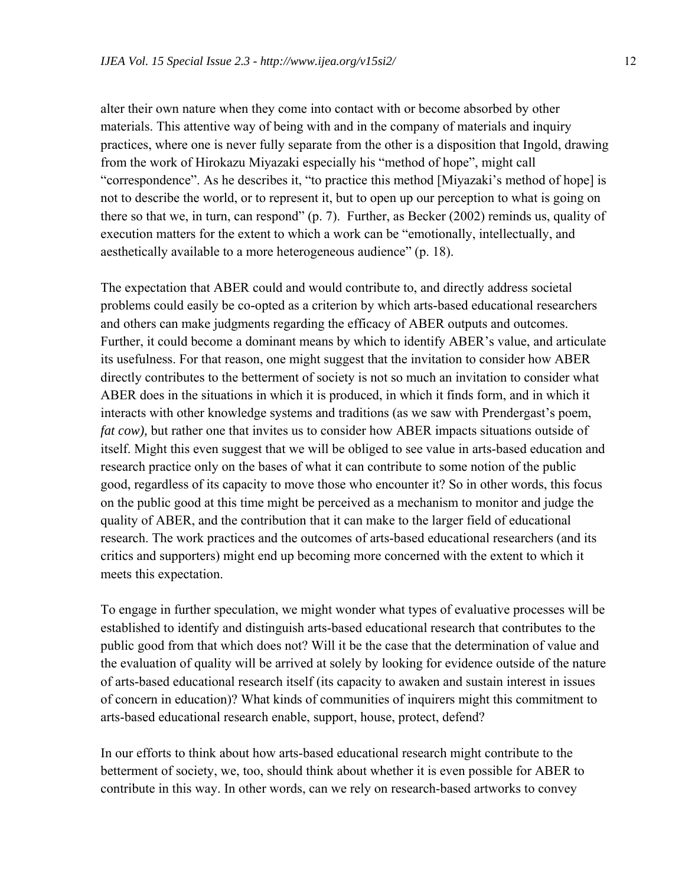alter their own nature when they come into contact with or become absorbed by other materials. This attentive way of being with and in the company of materials and inquiry practices, where one is never fully separate from the other is a disposition that Ingold, drawing from the work of Hirokazu Miyazaki especially his "method of hope", might call "correspondence". As he describes it, "to practice this method [Miyazaki's method of hope] is not to describe the world, or to represent it, but to open up our perception to what is going on there so that we, in turn, can respond" (p. 7). Further, as Becker (2002) reminds us, quality of execution matters for the extent to which a work can be "emotionally, intellectually, and aesthetically available to a more heterogeneous audience" (p. 18).

The expectation that ABER could and would contribute to, and directly address societal problems could easily be co-opted as a criterion by which arts-based educational researchers and others can make judgments regarding the efficacy of ABER outputs and outcomes. Further, it could become a dominant means by which to identify ABER's value, and articulate its usefulness. For that reason, one might suggest that the invitation to consider how ABER directly contributes to the betterment of society is not so much an invitation to consider what ABER does in the situations in which it is produced, in which it finds form, and in which it interacts with other knowledge systems and traditions (as we saw with Prendergast's poem, *fat cow*), but rather one that invites us to consider how ABER impacts situations outside of itself. Might this even suggest that we will be obliged to see value in arts-based education and research practice only on the bases of what it can contribute to some notion of the public good, regardless of its capacity to move those who encounter it? So in other words, this focus on the public good at this time might be perceived as a mechanism to monitor and judge the quality of ABER, and the contribution that it can make to the larger field of educational research. The work practices and the outcomes of arts-based educational researchers (and its critics and supporters) might end up becoming more concerned with the extent to which it meets this expectation.

To engage in further speculation, we might wonder what types of evaluative processes will be established to identify and distinguish arts-based educational research that contributes to the public good from that which does not? Will it be the case that the determination of value and the evaluation of quality will be arrived at solely by looking for evidence outside of the nature of arts-based educational research itself (its capacity to awaken and sustain interest in issues of concern in education)? What kinds of communities of inquirers might this commitment to arts-based educational research enable, support, house, protect, defend?

In our efforts to think about how arts-based educational research might contribute to the betterment of society, we, too, should think about whether it is even possible for ABER to contribute in this way. In other words, can we rely on research-based artworks to convey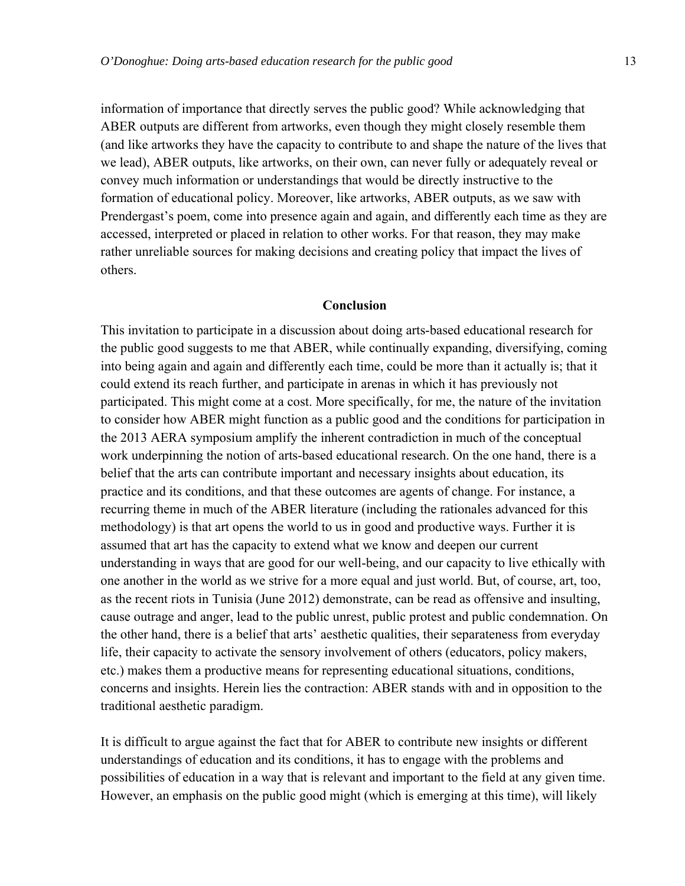information of importance that directly serves the public good? While acknowledging that ABER outputs are different from artworks, even though they might closely resemble them (and like artworks they have the capacity to contribute to and shape the nature of the lives that we lead), ABER outputs, like artworks, on their own, can never fully or adequately reveal or convey much information or understandings that would be directly instructive to the formation of educational policy. Moreover, like artworks, ABER outputs, as we saw with Prendergast's poem, come into presence again and again, and differently each time as they are accessed, interpreted or placed in relation to other works. For that reason, they may make rather unreliable sources for making decisions and creating policy that impact the lives of others.

#### **Conclusion**

This invitation to participate in a discussion about doing arts-based educational research for the public good suggests to me that ABER, while continually expanding, diversifying, coming into being again and again and differently each time, could be more than it actually is; that it could extend its reach further, and participate in arenas in which it has previously not participated. This might come at a cost. More specifically, for me, the nature of the invitation to consider how ABER might function as a public good and the conditions for participation in the 2013 AERA symposium amplify the inherent contradiction in much of the conceptual work underpinning the notion of arts-based educational research. On the one hand, there is a belief that the arts can contribute important and necessary insights about education, its practice and its conditions, and that these outcomes are agents of change. For instance, a recurring theme in much of the ABER literature (including the rationales advanced for this methodology) is that art opens the world to us in good and productive ways. Further it is assumed that art has the capacity to extend what we know and deepen our current understanding in ways that are good for our well-being, and our capacity to live ethically with one another in the world as we strive for a more equal and just world. But, of course, art, too, as the recent riots in Tunisia (June 2012) demonstrate, can be read as offensive and insulting, cause outrage and anger, lead to the public unrest, public protest and public condemnation. On the other hand, there is a belief that arts' aesthetic qualities, their separateness from everyday life, their capacity to activate the sensory involvement of others (educators, policy makers, etc.) makes them a productive means for representing educational situations, conditions, concerns and insights. Herein lies the contraction: ABER stands with and in opposition to the traditional aesthetic paradigm.

It is difficult to argue against the fact that for ABER to contribute new insights or different understandings of education and its conditions, it has to engage with the problems and possibilities of education in a way that is relevant and important to the field at any given time. However, an emphasis on the public good might (which is emerging at this time), will likely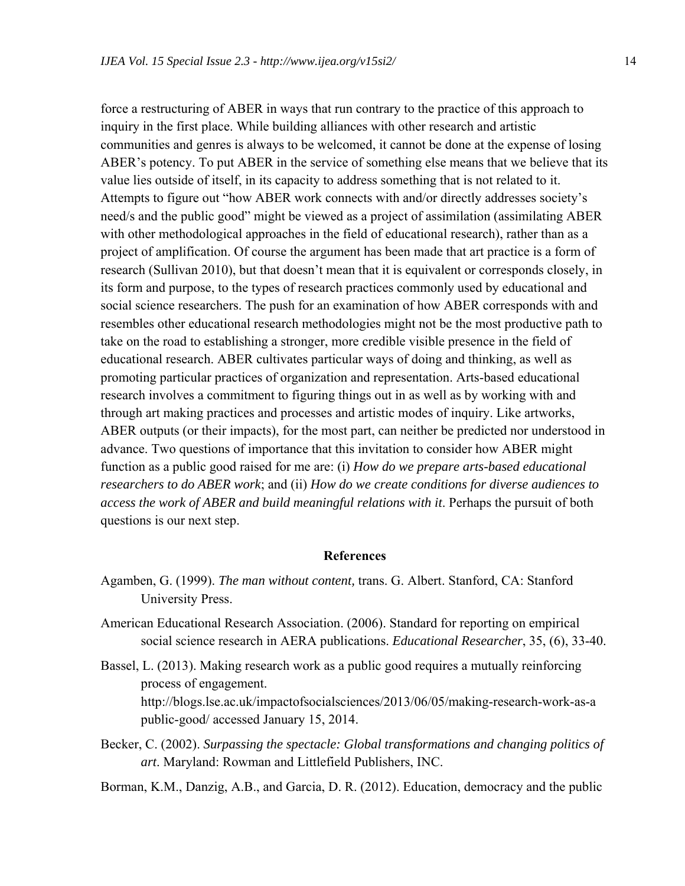force a restructuring of ABER in ways that run contrary to the practice of this approach to inquiry in the first place. While building alliances with other research and artistic communities and genres is always to be welcomed, it cannot be done at the expense of losing ABER's potency. To put ABER in the service of something else means that we believe that its value lies outside of itself, in its capacity to address something that is not related to it. Attempts to figure out "how ABER work connects with and/or directly addresses society's need/s and the public good" might be viewed as a project of assimilation (assimilating ABER with other methodological approaches in the field of educational research), rather than as a project of amplification. Of course the argument has been made that art practice is a form of research (Sullivan 2010), but that doesn't mean that it is equivalent or corresponds closely, in its form and purpose, to the types of research practices commonly used by educational and social science researchers. The push for an examination of how ABER corresponds with and resembles other educational research methodologies might not be the most productive path to take on the road to establishing a stronger, more credible visible presence in the field of educational research. ABER cultivates particular ways of doing and thinking, as well as promoting particular practices of organization and representation. Arts-based educational research involves a commitment to figuring things out in as well as by working with and through art making practices and processes and artistic modes of inquiry. Like artworks, ABER outputs (or their impacts), for the most part, can neither be predicted nor understood in advance. Two questions of importance that this invitation to consider how ABER might function as a public good raised for me are: (i) *How do we prepare arts-based educational researchers to do ABER work*; and (ii) *How do we create conditions for diverse audiences to access the work of ABER and build meaningful relations with it*. Perhaps the pursuit of both questions is our next step.

#### **References**

- Agamben, G. (1999). *The man without content,* trans. G. Albert. Stanford, CA: Stanford University Press.
- American Educational Research Association. (2006). Standard for reporting on empirical social science research in AERA publications. *Educational Researcher*, 35, (6), 33-40.
- Bassel, L. (2013). Making research work as a public good requires a mutually reinforcing process of engagement. http://blogs.lse.ac.uk/impactofsocialsciences/2013/06/05/making-research-work-as-a public-good/ accessed January 15, 2014.
- Becker, C. (2002). *Surpassing the spectacle: Global transformations and changing politics of art*. Maryland: Rowman and Littlefield Publishers, INC.

Borman, K.M., Danzig, A.B., and Garcia, D. R. (2012). Education, democracy and the public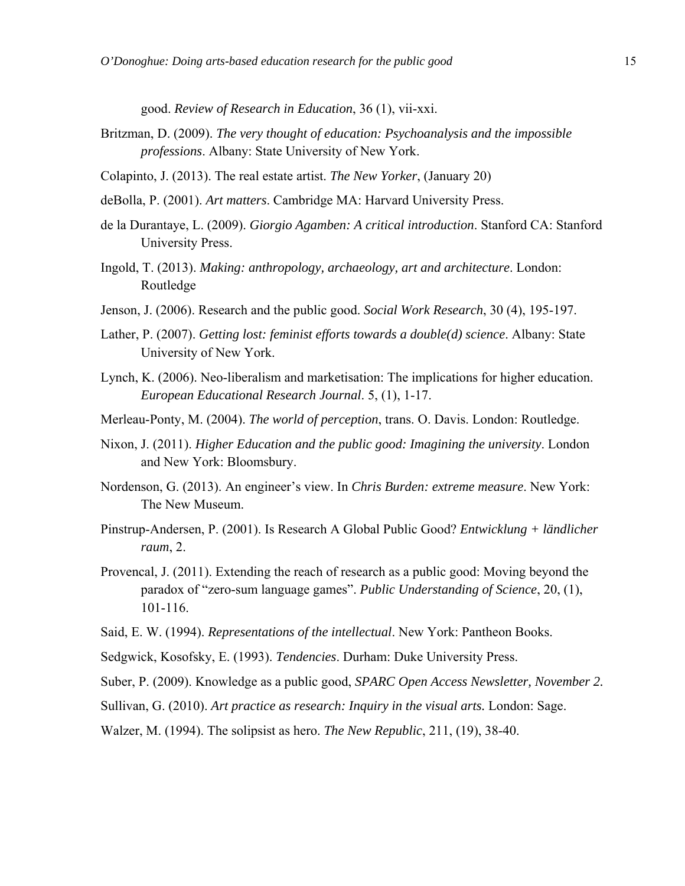good. *Review of Research in Education*, 36 (1), vii-xxi.

- Britzman, D. (2009). *The very thought of education: Psychoanalysis and the impossible professions*. Albany: State University of New York.
- Colapinto, J. (2013). The real estate artist. *The New Yorker*, (January 20)
- deBolla, P. (2001). *Art matters*. Cambridge MA: Harvard University Press.
- de la Durantaye, L. (2009). *Giorgio Agamben: A critical introduction*. Stanford CA: Stanford University Press.
- Ingold, T. (2013). *Making: anthropology, archaeology, art and architecture*. London: Routledge
- Jenson, J. (2006). Research and the public good. *Social Work Research*, 30 (4), 195-197.
- Lather, P. (2007). *Getting lost: feminist efforts towards a double(d) science*. Albany: State University of New York.
- Lynch, K. (2006). Neo-liberalism and marketisation: The implications for higher education. *European Educational Research Journal*. 5, (1), 1-17.
- Merleau-Ponty, M. (2004). *The world of perception*, trans. O. Davis. London: Routledge.
- Nixon, J. (2011). *Higher Education and the public good: Imagining the university*. London and New York: Bloomsbury.
- Nordenson, G. (2013). An engineer's view. In *Chris Burden: extreme measure*. New York: The New Museum.
- Pinstrup-Andersen, P. (2001). Is Research A Global Public Good? *Entwicklung + ländlicher raum*, 2.
- Provencal, J. (2011). Extending the reach of research as a public good: Moving beyond the paradox of "zero-sum language games". *Public Understanding of Science*, 20, (1), 101-116.
- Said, E. W. (1994). *Representations of the intellectual*. New York: Pantheon Books.
- Sedgwick, Kosofsky, E. (1993). *Tendencies*. Durham: Duke University Press.
- Suber, P. (2009). Knowledge as a public good, *SPARC Open Access Newsletter, November 2.*
- Sullivan, G. (2010). *Art practice as research: Inquiry in the visual arts.* London: Sage.
- Walzer, M. (1994). The solipsist as hero. *The New Republic*, 211, (19), 38-40.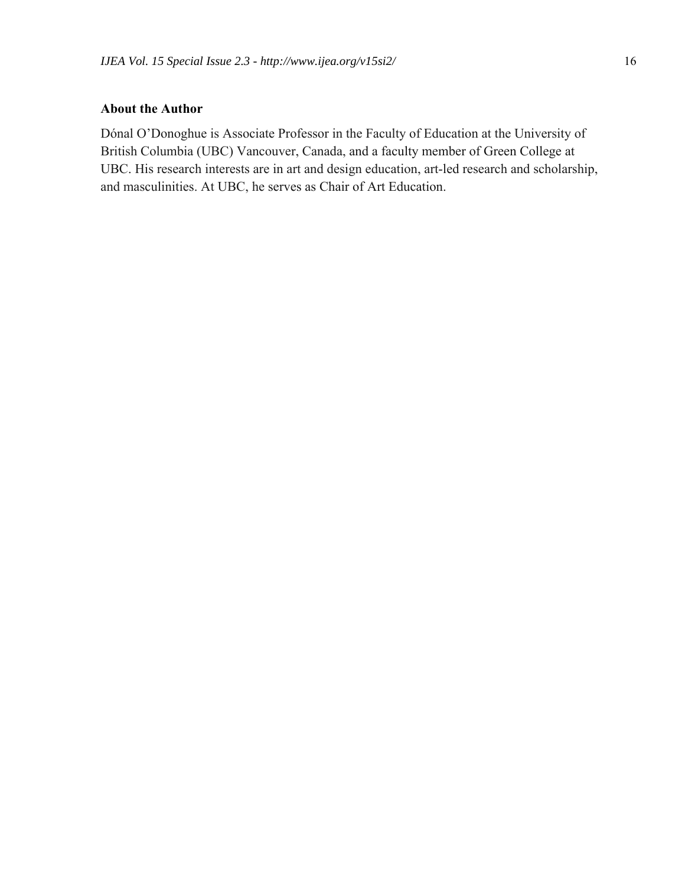#### **About the Author**

Dónal O'Donoghue is Associate Professor in the Faculty of Education at the University of British Columbia (UBC) Vancouver, Canada, and a faculty member of Green College at UBC. His research interests are in art and design education, art-led research and scholarship, and masculinities. At UBC, he serves as Chair of Art Education.